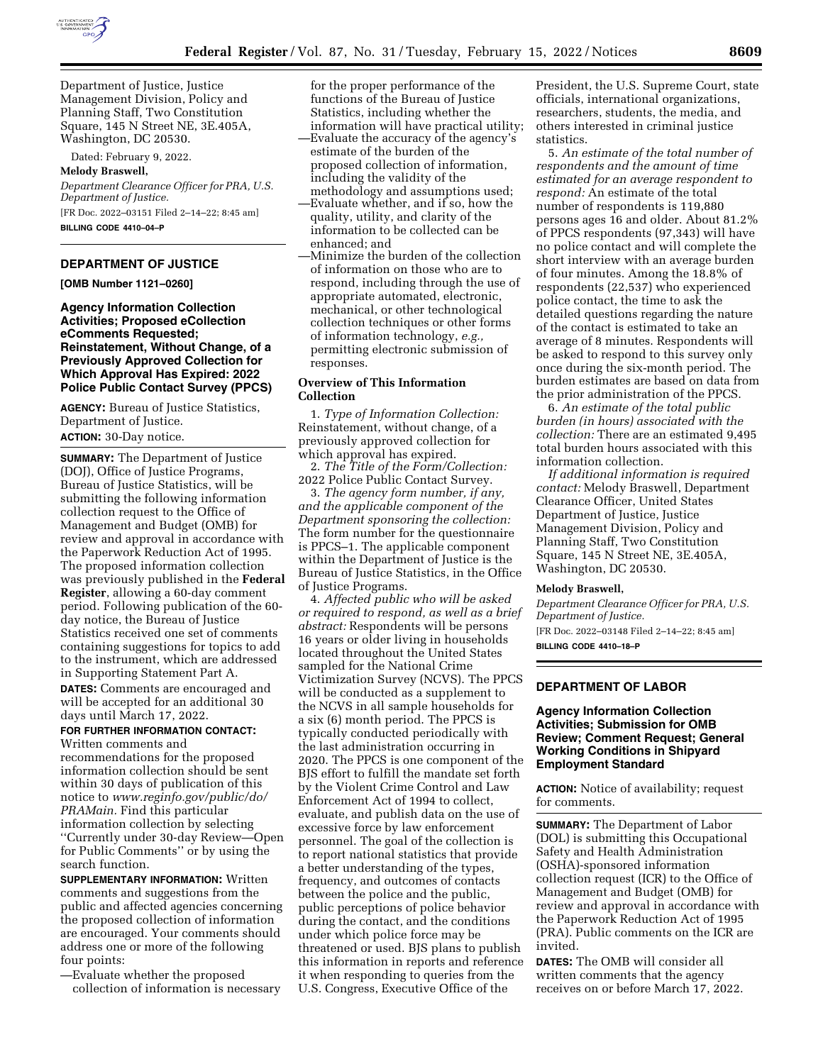

Department of Justice, Justice Management Division, Policy and Planning Staff, Two Constitution Square, 145 N Street NE, 3E.405A, Washington, DC 20530.

Dated: February 9, 2022.

**Melody Braswell,** 

*Department Clearance Officer for PRA, U.S. Department of Justice.* 

[FR Doc. 2022–03151 Filed 2–14–22; 8:45 am] **BILLING CODE 4410–04–P** 

#### **DEPARTMENT OF JUSTICE**

**[OMB Number 1121–0260]** 

**Agency Information Collection Activities; Proposed eCollection eComments Requested; Reinstatement, Without Change, of a Previously Approved Collection for Which Approval Has Expired: 2022 Police Public Contact Survey (PPCS)** 

**AGENCY:** Bureau of Justice Statistics, Department of Justice. **ACTION:** 30-Day notice.

**SUMMARY:** The Department of Justice (DOJ), Office of Justice Programs, Bureau of Justice Statistics, will be submitting the following information collection request to the Office of Management and Budget (OMB) for review and approval in accordance with the Paperwork Reduction Act of 1995. The proposed information collection was previously published in the **Federal Register**, allowing a 60-day comment period. Following publication of the 60 day notice, the Bureau of Justice Statistics received one set of comments containing suggestions for topics to add to the instrument, which are addressed in Supporting Statement Part A. **DATES:** Comments are encouraged and will be accepted for an additional 30 days until March 17, 2022.

## **FOR FURTHER INFORMATION CONTACT:**  Written comments and

recommendations for the proposed information collection should be sent within 30 days of publication of this notice to *[www.reginfo.gov/public/do/](http://www.reginfo.gov/public/do/PRAMain) [PRAMain.](http://www.reginfo.gov/public/do/PRAMain)* Find this particular information collection by selecting ''Currently under 30-day Review—Open for Public Comments'' or by using the search function.

**SUPPLEMENTARY INFORMATION:** Written comments and suggestions from the public and affected agencies concerning the proposed collection of information are encouraged. Your comments should address one or more of the following four points:

—Evaluate whether the proposed collection of information is necessary for the proper performance of the functions of the Bureau of Justice Statistics, including whether the information will have practical utility;

—Evaluate the accuracy of the agency's estimate of the burden of the proposed collection of information, including the validity of the methodology and assumptions used;

- —Evaluate whether, and if so, how the quality, utility, and clarity of the information to be collected can be enhanced; and
- —Minimize the burden of the collection of information on those who are to respond, including through the use of appropriate automated, electronic, mechanical, or other technological collection techniques or other forms of information technology, *e.g.,*  permitting electronic submission of responses.

# **Overview of This Information Collection**

1. *Type of Information Collection:*  Reinstatement, without change, of a previously approved collection for which approval has expired.

2. *The Title of the Form/Collection:*  2022 Police Public Contact Survey.

3. *The agency form number, if any, and the applicable component of the Department sponsoring the collection:*  The form number for the questionnaire is PPCS–1. The applicable component within the Department of Justice is the Bureau of Justice Statistics, in the Office of Justice Programs.

4. *Affected public who will be asked or required to respond, as well as a brief abstract:* Respondents will be persons 16 years or older living in households located throughout the United States sampled for the National Crime Victimization Survey (NCVS). The PPCS will be conducted as a supplement to the NCVS in all sample households for a six (6) month period. The PPCS is typically conducted periodically with the last administration occurring in 2020. The PPCS is one component of the BJS effort to fulfill the mandate set forth by the Violent Crime Control and Law Enforcement Act of 1994 to collect, evaluate, and publish data on the use of excessive force by law enforcement personnel. The goal of the collection is to report national statistics that provide a better understanding of the types, frequency, and outcomes of contacts between the police and the public, public perceptions of police behavior during the contact, and the conditions under which police force may be threatened or used. BJS plans to publish this information in reports and reference it when responding to queries from the U.S. Congress, Executive Office of the

President, the U.S. Supreme Court, state officials, international organizations, researchers, students, the media, and others interested in criminal justice statistics.

5. *An estimate of the total number of respondents and the amount of time estimated for an average respondent to respond:* An estimate of the total number of respondents is 119,880 persons ages 16 and older. About 81.2% of PPCS respondents (97,343) will have no police contact and will complete the short interview with an average burden of four minutes. Among the 18.8% of respondents (22,537) who experienced police contact, the time to ask the detailed questions regarding the nature of the contact is estimated to take an average of 8 minutes. Respondents will be asked to respond to this survey only once during the six-month period. The burden estimates are based on data from the prior administration of the PPCS.

6. *An estimate of the total public burden (in hours) associated with the collection:* There are an estimated 9,495 total burden hours associated with this information collection.

*If additional information is required contact:* Melody Braswell, Department Clearance Officer, United States Department of Justice, Justice Management Division, Policy and Planning Staff, Two Constitution Square, 145 N Street NE, 3E.405A, Washington, DC 20530.

### **Melody Braswell,**

*Department Clearance Officer for PRA, U.S. Department of Justice.*  [FR Doc. 2022–03148 Filed 2–14–22; 8:45 am]

**BILLING CODE 4410–18–P** 

## **DEPARTMENT OF LABOR**

## **Agency Information Collection Activities; Submission for OMB Review; Comment Request; General Working Conditions in Shipyard Employment Standard**

**ACTION:** Notice of availability; request for comments.

**SUMMARY:** The Department of Labor (DOL) is submitting this Occupational Safety and Health Administration (OSHA)-sponsored information collection request (ICR) to the Office of Management and Budget (OMB) for review and approval in accordance with the Paperwork Reduction Act of 1995 (PRA). Public comments on the ICR are invited.

**DATES:** The OMB will consider all written comments that the agency receives on or before March 17, 2022.